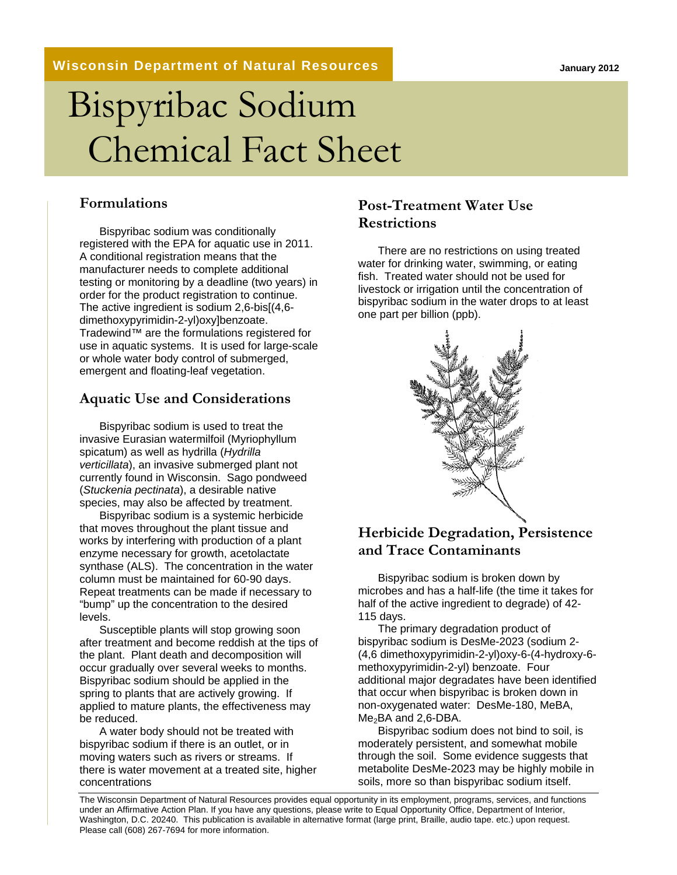**January 2012**

#### **Wisconsin Department of Natural Resources**

# Bispyribac Sodium Chemical Fact Sheet

#### **Formulations**

Bispyribac sodium was conditionally registered with the EPA for aquatic use in 2011. A conditional registration means that the manufacturer needs to complete additional testing or monitoring by a deadline (two years) in order for the product registration to continue. The active ingredient is sodium 2,6-bis[(4,6 dimethoxypyrimidin-2-yl)oxy]benzoate. Tradewind™ are the formulations registered for use in aquatic systems. It is used for large-scale or whole water body control of submerged, emergent and floating-leaf vegetation.

#### **Aquatic Use and Considerations**

Bispyribac sodium is used to treat the invasive Eurasian watermilfoil (Myriophyllum spicatum) as well as hydrilla (*Hydrilla verticillata*), an invasive submerged plant not currently found in Wisconsin. Sago pondweed (*Stuckenia pectinata*), a desirable native species, may also be affected by treatment.

Bispyribac sodium is a systemic herbicide that moves throughout the plant tissue and works by interfering with production of a plant enzyme necessary for growth, acetolactate synthase (ALS). The concentration in the water column must be maintained for 60-90 days. Repeat treatments can be made if necessary to "bump" up the concentration to the desired levels.

Susceptible plants will stop growing soon after treatment and become reddish at the tips of the plant. Plant death and decomposition will occur gradually over several weeks to months. Bispyribac sodium should be applied in the spring to plants that are actively growing. If applied to mature plants, the effectiveness may be reduced.

A water body should not be treated with bispyribac sodium if there is an outlet, or in moving waters such as rivers or streams. If there is water movement at a treated site, higher concentrations

### **Post-Treatment Water Use Restrictions**

There are no restrictions on using treated water for drinking water, swimming, or eating fish. Treated water should not be used for livestock or irrigation until the concentration of bispyribac sodium in the water drops to at least one part per billion (ppb).



### **Herbicide Degradation, Persistence and Trace Contaminants**

Bispyribac sodium is broken down by microbes and has a half-life (the time it takes for half of the active ingredient to degrade) of 42- 115 days.

The primary degradation product of bispyribac sodium is DesMe-2023 (sodium 2- (4,6 dimethoxypyrimidin-2-yl)oxy-6-(4-hydroxy-6 methoxypyrimidin-2-yl) benzoate. Four additional major degradates have been identified that occur when bispyribac is broken down in non-oxygenated water: DesMe-180, MeBA, Me<sub>2</sub>BA and 2,6-DBA.

Bispyribac sodium does not bind to soil, is moderately persistent, and somewhat mobile through the soil. Some evidence suggests that metabolite DesMe-2023 may be highly mobile in soils, more so than bispyribac sodium itself.

The Wisconsin Department of Natural Resources provides equal opportunity in its employment, programs, services, and functions under an Affirmative Action Plan. If you have any questions, please write to Equal Opportunity Office, Department of Interior, Washington, D.C. 20240. This publication is available in alternative format (large print, Braille, audio tape. etc.) upon request. Please call (608) 267-7694 for more information.